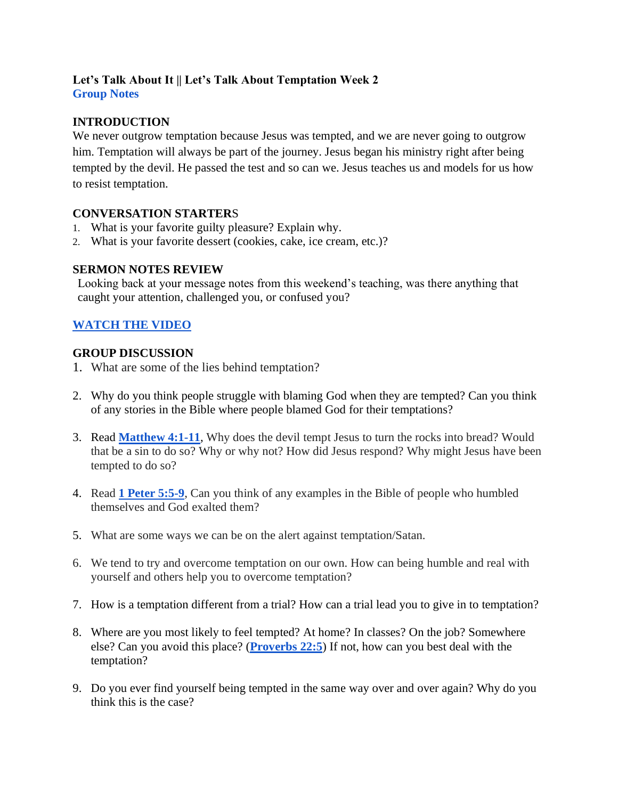## **Let's Talk About It || Let's Talk About Temptation Week 2 Group Notes**

## **INTRODUCTION**

We never outgrow temptation because Jesus was tempted, and we are never going to outgrow him. Temptation will always be part of the journey. Jesus began his ministry right after being tempted by the devil. He passed the test and so can we. Jesus teaches us and models for us how to resist temptation.

## **CONVERSATION STARTER**S

- 1. What is your favorite guilty pleasure? Explain why.
- 2. What is your favorite dessert (cookies, cake, ice cream, etc.)?

## **SERMON NOTES REVIEW**

Looking back at your message notes from this weekend's teaching, was there anything that caught your attention, challenged you, or confused you?

# **[WATCH THE VIDEO](https://youtu.be/Jf1b29LVTLo)**

## **GROUP DISCUSSION**

- 1. What are some of the lies behind temptation?
- 2. Why do you think people struggle with blaming God when they are tempted? Can you think of any stories in the Bible where people blamed God for their temptations?
- 3. Read **[Matthew 4:1-11](https://www.biblegateway.com/passage/?search=Matthew%204%3A1-11&version=NIV)**, Why does the devil tempt Jesus to turn the rocks into bread? Would that be a sin to do so? Why or why not? How did Jesus respond? Why might Jesus have been tempted to do so?
- 4. Read **1 [Peter 5:5-9](https://www.biblegateway.com/passage/?search=1+peter+5%3A5b-9&version=NIV)**, Can you think of any examples in the Bible of people who humbled themselves and God exalted them?
- 5. What are some ways we can be on the alert against temptation/Satan.
- 6. We tend to try and overcome temptation on our own. How can being humble and real with yourself and others help you to overcome temptation?
- 7. How is a temptation different from a trial? How can a trial lead you to give in to temptation?
- 8. Where are you most likely to feel tempted? At home? In classes? On the job? Somewhere else? Can you avoid this place? (**[Proverbs 22:5](https://www.biblegateway.com/passage/?search=proverb+22%3A5&version=NIV)**) If not, how can you best deal with the temptation?
- 9. Do you ever find yourself being tempted in the same way over and over again? Why do you think this is the case?